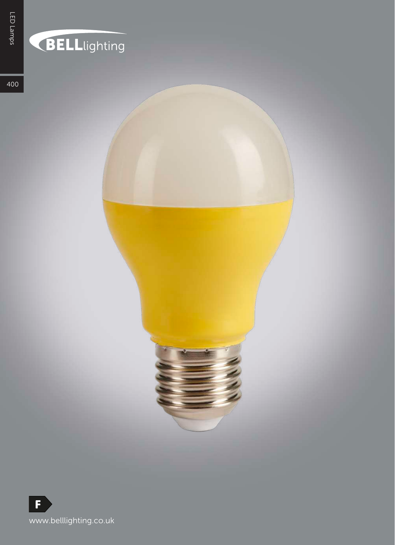## BELLlighting

400